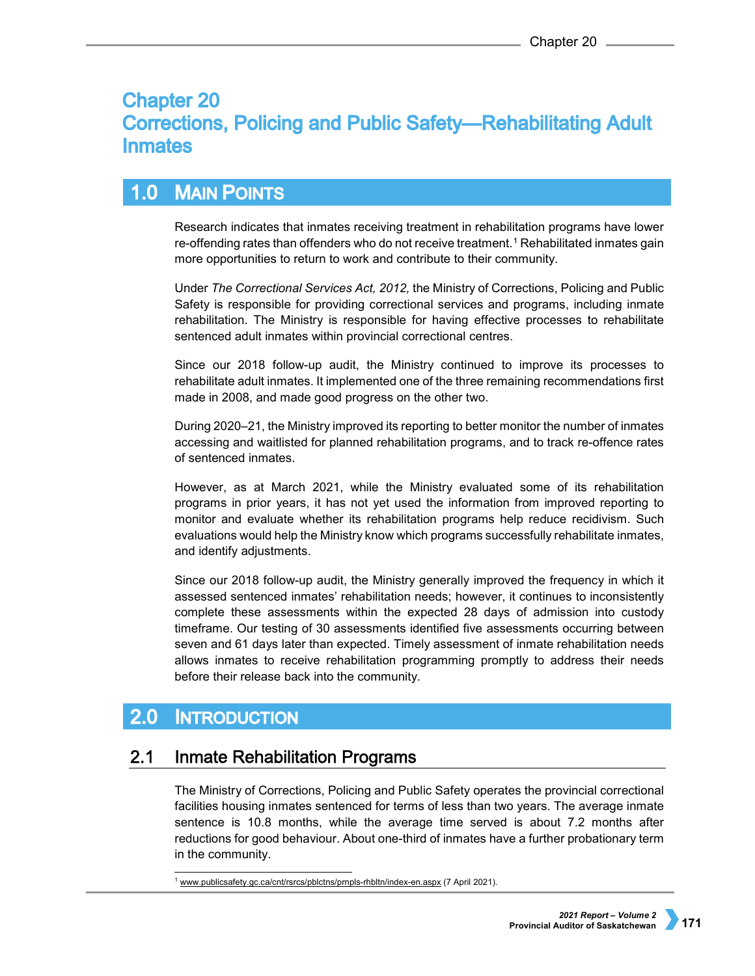# **Chapter 20 Corrections, Policing and Public Safety—Rehabilitating Adult Inmates**

## **MAIN POINTS**  $1.0$

Research indicates that inmates receiving treatment in rehabilitation programs have lower re-offending rates than offenders who do not receive treatment.<sup>[1](#page-0-0)</sup> Rehabilitated inmates gain more opportunities to return to work and contribute to their community.

Under *The Correctional Services Act, 2012,* the Ministry of Corrections, Policing and Public Safety is responsible for providing correctional services and programs, including inmate rehabilitation. The Ministry is responsible for having effective processes to rehabilitate sentenced adult inmates within provincial correctional centres.

Since our 2018 follow-up audit, the Ministry continued to improve its processes to rehabilitate adult inmates. It implemented one of the three remaining recommendations first made in 2008, and made good progress on the other two.

During 2020–21, the Ministry improved its reporting to better monitor the number of inmates accessing and waitlisted for planned rehabilitation programs, and to track re-offence rates of sentenced inmates.

However, as at March 2021, while the Ministry evaluated some of its rehabilitation programs in prior years, it has not yet used the information from improved reporting to monitor and evaluate whether its rehabilitation programs help reduce recidivism. Such evaluations would help the Ministry know which programs successfully rehabilitate inmates, and identify adjustments.

Since our 2018 follow-up audit, the Ministry generally improved the frequency in which it assessed sentenced inmates' rehabilitation needs; however, it continues to inconsistently complete these assessments within the expected 28 days of admission into custody timeframe. Our testing of 30 assessments identified five assessments occurring between seven and 61 days later than expected. Timely assessment of inmate rehabilitation needs allows inmates to receive rehabilitation programming promptly to address their needs before their release back into the community.

### $2.0$ **INTRODUCTION**

#### **Inmate Rehabilitation Programs**  $2.1$

The Ministry of Corrections, Policing and Public Safety operates the provincial correctional facilities housing inmates sentenced for terms of less than two years. The average inmate sentence is 10.8 months, while the average time served is about 7.2 months after reductions for good behaviour. About one-third of inmates have a further probationary term in the community.

<span id="page-0-0"></span><sup>1</sup> [www.publicsafety.gc.ca/cnt/rsrcs/pblctns/prnpls-rhbltn/index-en.aspx](http://www.publicsafety.gc.ca/cnt/rsrcs/pblctns/prnpls-rhbltn/index-en.aspx%20(09) (7 April 2021).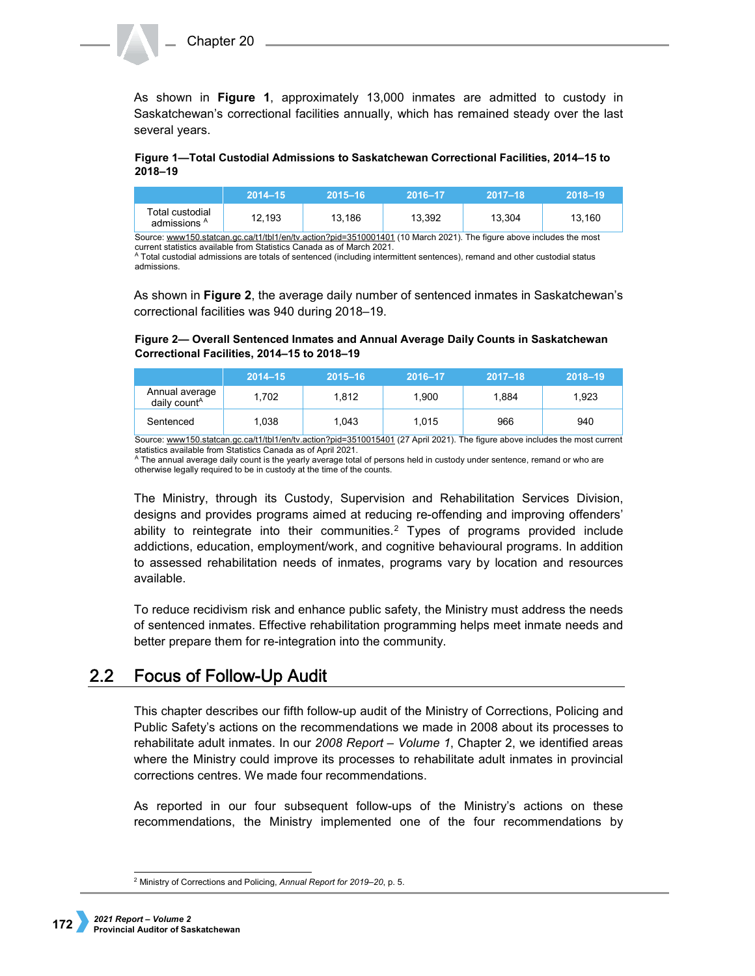As shown in **Figure 1**, approximately 13,000 inmates are admitted to custody in Saskatchewan's correctional facilities annually, which has remained steady over the last several years.

## **Figure 1—Total Custodial Admissions to Saskatchewan Correctional Facilities, 2014–15 to 2018–19**

| Total custodial<br>12.193<br>admissions <sup>A</sup> | 13.186 | 13.392 | 13.304 | 13.160 |
|------------------------------------------------------|--------|--------|--------|--------|

Source[: www150.statcan.gc.ca/t1/tbl1/en/tv.action?pid=3510001401](https://www150.statcan.gc.ca/t1/tbl1/en/tv.action?pid=3510001401) (10 March 2021). The figure above includes the most current statistics available from Statistics Canada as of March 2021.

<sup>A</sup> Total custodial admissions are totals of sentenced (including intermittent sentences), remand and other custodial status admissions.

As shown in **Figure 2**, the average daily number of sentenced inmates in Saskatchewan's correctional facilities was 940 during 2018–19.

# **Figure 2— Overall Sentenced Inmates and Annual Average Daily Counts in Saskatchewan Correctional Facilities, 2014–15 to 2018–19**

|                                            | $2014 - 15$ | $2015 - 16$ | 2016-17 | $2017 - 18$ | $2018 - 19$ |
|--------------------------------------------|-------------|-------------|---------|-------------|-------------|
| Annual average<br>daily count <sup>A</sup> | 1,702       | 1.812       | 1.900   | 1.884       | 1.923       |
| Sentenced                                  | 1,038       | 1.043       | 1.015   | 966         | 940         |

Source[: www150.statcan.gc.ca/t1/tbl1/en/tv.action?pid=3510015401](https://www150.statcan.gc.ca/t1/tbl1/en/tv.action?pid=3510015401) (27 April 2021). The figure above includes the most current statistics available from Statistics Canada as of April 2021.

<sup>A</sup> The annual average daily count is the yearly average total of persons held in custody under sentence, remand or who are otherwise legally required to be in custody at the time of the counts.

The Ministry, through its Custody, Supervision and Rehabilitation Services Division, designs and provides programs aimed at reducing re-offending and improving offenders' ability to reintegrate into their communities.[2](#page-1-0) Types of programs provided include addictions, education, employment/work, and cognitive behavioural programs. In addition to assessed rehabilitation needs of inmates, programs vary by location and resources available.

To reduce recidivism risk and enhance public safety, the Ministry must address the needs of sentenced inmates. Effective rehabilitation programming helps meet inmate needs and better prepare them for re-integration into the community.

#### $2.2<sub>2</sub>$ **Focus of Follow-Up Audit**

This chapter describes our fifth follow-up audit of the Ministry of Corrections, Policing and Public Safety's actions on the recommendations we made in 2008 about its processes to rehabilitate adult inmates. In our *2008 Report – Volume 1*, Chapter 2, we identified areas where the Ministry could improve its processes to rehabilitate adult inmates in provincial corrections centres. We made four recommendations.

As reported in our four subsequent follow-ups of the Ministry's actions on these recommendations, the Ministry implemented one of the four recommendations by

<span id="page-1-0"></span> <sup>2</sup> Ministry of Corrections and Policing, *Annual Report for 2019–20*, p. 5.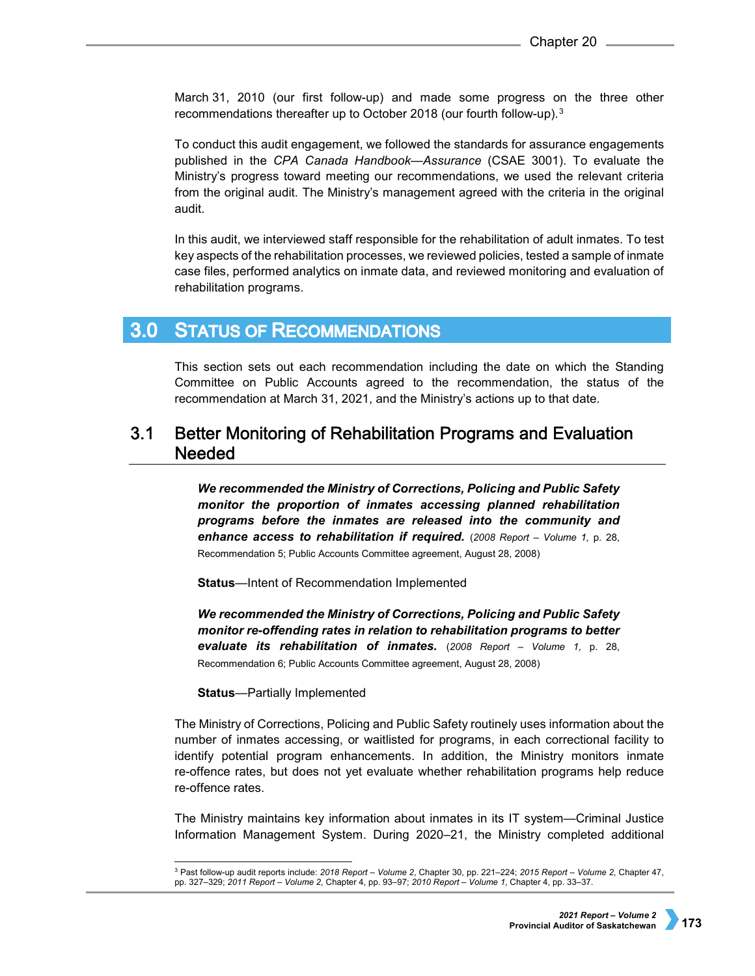March 31, 2010 (our first follow-up) and made some progress on the three other recommendations thereafter up to October 2018 (our fourth follow-up).[3](#page-2-0)

To conduct this audit engagement, we followed the standards for assurance engagements published in the *CPA Canada Handbook—Assurance* (CSAE 3001). To evaluate the Ministry's progress toward meeting our recommendations, we used the relevant criteria from the original audit. The Ministry's management agreed with the criteria in the original audit.

In this audit, we interviewed staff responsible for the rehabilitation of adult inmates. To test key aspects of the rehabilitation processes, we reviewed policies, tested a sample of inmate case files, performed analytics on inmate data, and reviewed monitoring and evaluation of rehabilitation programs.

#### **STATUS OF RECOMMENDATIONS**  $3.0<sub>1</sub>$

This section sets out each recommendation including the date on which the Standing Committee on Public Accounts agreed to the recommendation, the status of the recommendation at March 31, 2021, and the Ministry's actions up to that date.

## $3.1$ Better Monitoring of Rehabilitation Programs and Evaluation **Needed**

*We recommended the Ministry of Corrections, Policing and Public Safety monitor the proportion of inmates accessing planned rehabilitation programs before the inmates are released into the community and enhance access to rehabilitation if required.* (*2008 Report – Volume 1,* p. 28, Recommendation 5; Public Accounts Committee agreement, August 28, 2008)

**Status**—Intent of Recommendation Implemented

*We recommended the Ministry of Corrections, Policing and Public Safety monitor re-offending rates in relation to rehabilitation programs to better evaluate its rehabilitation of inmates.* (*2008 Report – Volume 1,* p. 28, Recommendation 6; Public Accounts Committee agreement, August 28, 2008)

**Status**—Partially Implemented

The Ministry of Corrections, Policing and Public Safety routinely uses information about the number of inmates accessing, or waitlisted for programs, in each correctional facility to identify potential program enhancements. In addition, the Ministry monitors inmate re-offence rates, but does not yet evaluate whether rehabilitation programs help reduce re-offence rates.

The Ministry maintains key information about inmates in its IT system—Criminal Justice Information Management System. During 2020–21, the Ministry completed additional

<span id="page-2-0"></span> <sup>3</sup> Past follow-up audit reports include: *2018 Report – Volume 2*, Chapter 30, pp. 221–224; *2015 Report – Volume 2*, Chapter 47, pp. 327–329; *2011 Report – Volume 2*, Chapter 4, pp. 93–97; *2010 Report – Volume 1*, Chapter 4, pp. 33–37.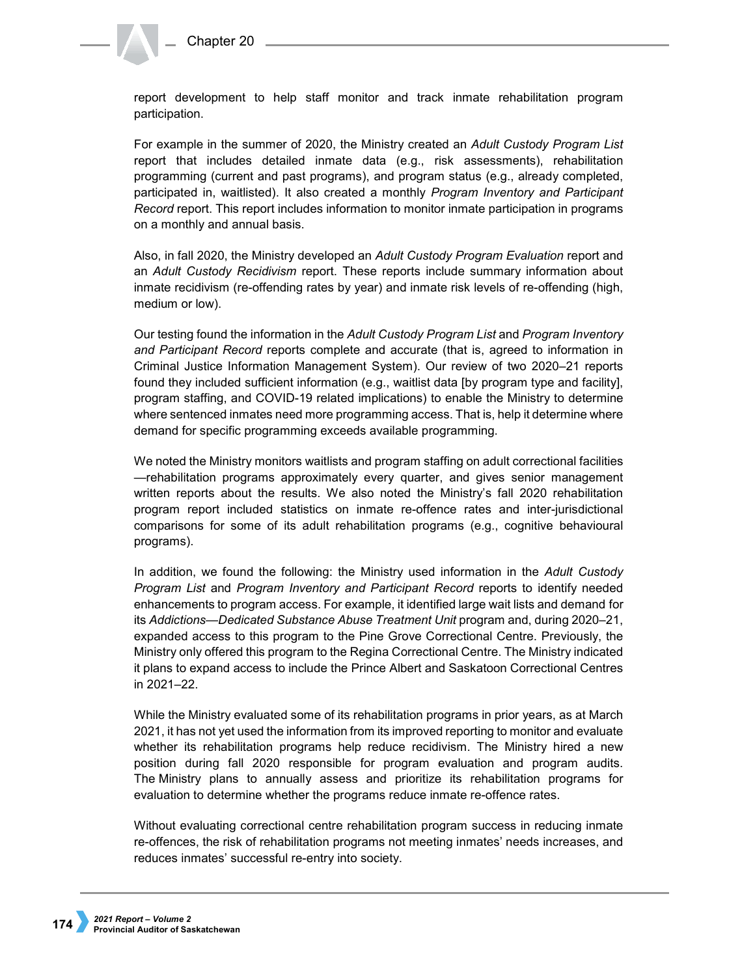report development to help staff monitor and track inmate rehabilitation program participation.

For example in the summer of 2020, the Ministry created an *Adult Custody Program List*  report that includes detailed inmate data (e.g., risk assessments), rehabilitation programming (current and past programs), and program status (e.g., already completed, participated in, waitlisted). It also created a monthly *Program Inventory and Participant Record* report. This report includes information to monitor inmate participation in programs on a monthly and annual basis.

Also, in fall 2020, the Ministry developed an *Adult Custody Program Evaluation* report and an *Adult Custody Recidivism* report. These reports include summary information about inmate recidivism (re-offending rates by year) and inmate risk levels of re-offending (high, medium or low).

Our testing found the information in the *Adult Custody Program List* and *Program Inventory and Participant Record* reports complete and accurate (that is, agreed to information in Criminal Justice Information Management System). Our review of two 2020–21 reports found they included sufficient information (e.g., waitlist data [by program type and facility], program staffing, and COVID-19 related implications) to enable the Ministry to determine where sentenced inmates need more programming access. That is, help it determine where demand for specific programming exceeds available programming.

We noted the Ministry monitors waitlists and program staffing on adult correctional facilities —rehabilitation programs approximately every quarter, and gives senior management written reports about the results. We also noted the Ministry's fall 2020 rehabilitation program report included statistics on inmate re-offence rates and inter-jurisdictional comparisons for some of its adult rehabilitation programs (e.g., cognitive behavioural programs).

In addition, we found the following: the Ministry used information in the *Adult Custody Program List* and *Program Inventory and Participant Record* reports to identify needed enhancements to program access. For example, it identified large wait lists and demand for its *Addictions—Dedicated Substance Abuse Treatment Unit* program and, during 2020–21, expanded access to this program to the Pine Grove Correctional Centre. Previously, the Ministry only offered this program to the Regina Correctional Centre. The Ministry indicated it plans to expand access to include the Prince Albert and Saskatoon Correctional Centres in 2021–22.

While the Ministry evaluated some of its rehabilitation programs in prior years, as at March 2021, it has not yet used the information from its improved reporting to monitor and evaluate whether its rehabilitation programs help reduce recidivism. The Ministry hired a new position during fall 2020 responsible for program evaluation and program audits. The Ministry plans to annually assess and prioritize its rehabilitation programs for evaluation to determine whether the programs reduce inmate re-offence rates.

Without evaluating correctional centre rehabilitation program success in reducing inmate re-offences, the risk of rehabilitation programs not meeting inmates' needs increases, and reduces inmates' successful re-entry into society.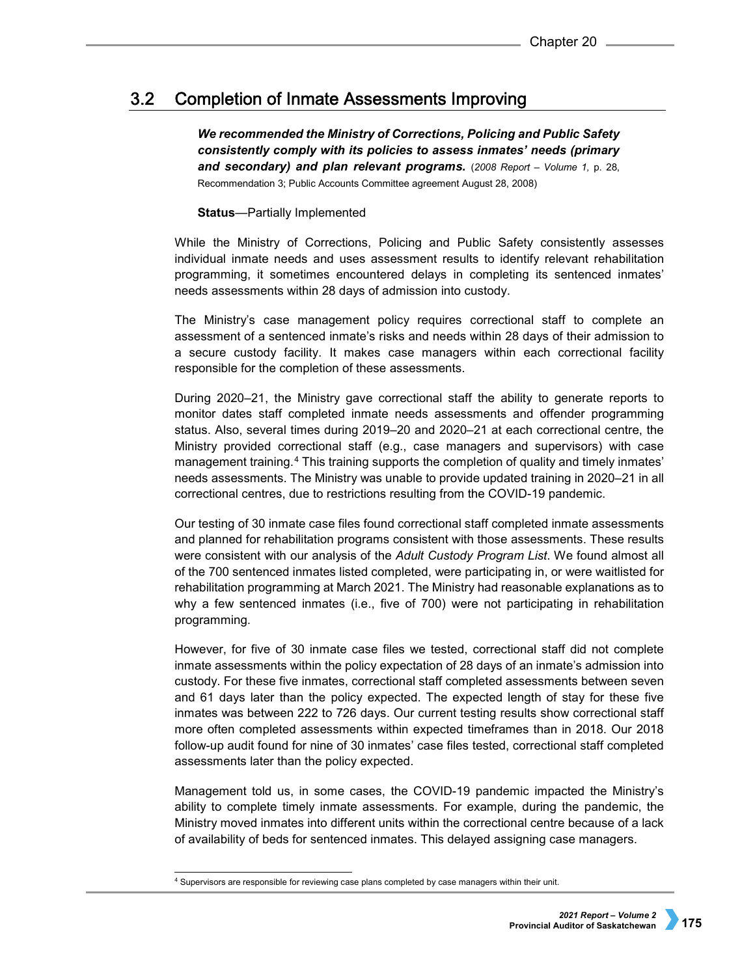#### $3.2$ **Completion of Inmate Assessments Improving**

*We recommended the Ministry of Corrections, Policing and Public Safety consistently comply with its policies to assess inmates' needs (primary and secondary) and plan relevant programs.* (*2008 Report* – *Volume 1,* p. 28, Recommendation 3; Public Accounts Committee agreement August 28, 2008)

# **Status**—Partially Implemented

While the Ministry of Corrections, Policing and Public Safety consistently assesses individual inmate needs and uses assessment results to identify relevant rehabilitation programming, it sometimes encountered delays in completing its sentenced inmates' needs assessments within 28 days of admission into custody.

The Ministry's case management policy requires correctional staff to complete an assessment of a sentenced inmate's risks and needs within 28 days of their admission to a secure custody facility. It makes case managers within each correctional facility responsible for the completion of these assessments.

During 2020–21, the Ministry gave correctional staff the ability to generate reports to monitor dates staff completed inmate needs assessments and offender programming status. Also, several times during 2019–20 and 2020–21 at each correctional centre, the Ministry provided correctional staff (e.g., case managers and supervisors) with case management training.[4](#page-4-0) This training supports the completion of quality and timely inmates' needs assessments. The Ministry was unable to provide updated training in 2020–21 in all correctional centres, due to restrictions resulting from the COVID-19 pandemic.

Our testing of 30 inmate case files found correctional staff completed inmate assessments and planned for rehabilitation programs consistent with those assessments. These results were consistent with our analysis of the *Adult Custody Program List*. We found almost all of the 700 sentenced inmates listed completed, were participating in, or were waitlisted for rehabilitation programming at March 2021. The Ministry had reasonable explanations as to why a few sentenced inmates (i.e., five of 700) were not participating in rehabilitation programming.

However, for five of 30 inmate case files we tested, correctional staff did not complete inmate assessments within the policy expectation of 28 days of an inmate's admission into custody. For these five inmates, correctional staff completed assessments between seven and 61 days later than the policy expected. The expected length of stay for these five inmates was between 222 to 726 days. Our current testing results show correctional staff more often completed assessments within expected timeframes than in 2018. Our 2018 follow-up audit found for nine of 30 inmates' case files tested, correctional staff completed assessments later than the policy expected.

Management told us, in some cases, the COVID-19 pandemic impacted the Ministry's ability to complete timely inmate assessments. For example, during the pandemic, the Ministry moved inmates into different units within the correctional centre because of a lack of availability of beds for sentenced inmates. This delayed assigning case managers.

<span id="page-4-0"></span> <sup>4</sup> Supervisors are responsible for reviewing case plans completed by case managers within their unit.